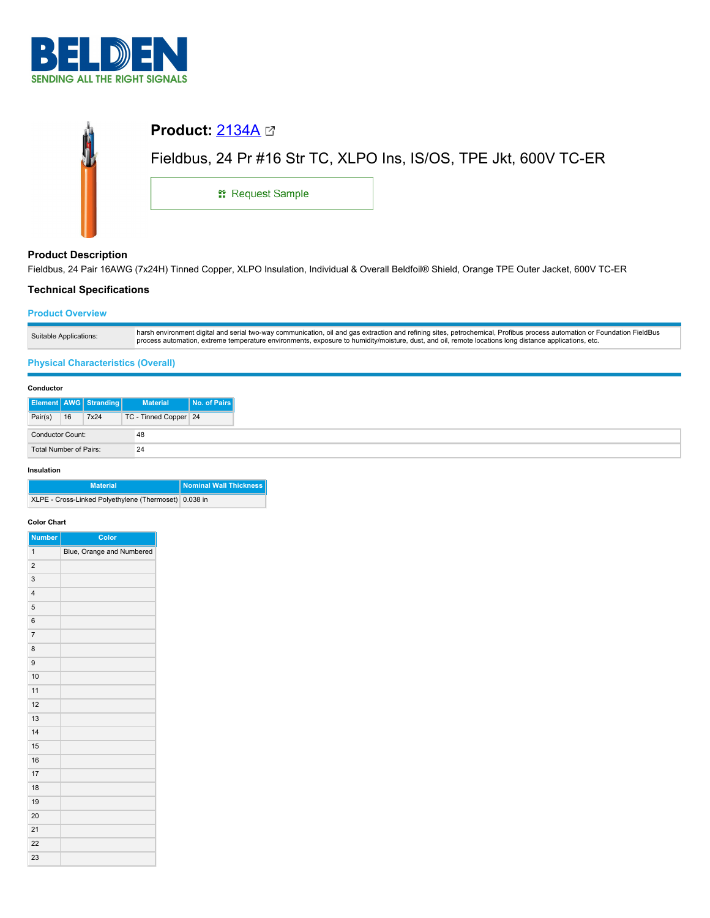

| <b>Product:</b> $2134A \boxtimes$ |                                                                  |
|-----------------------------------|------------------------------------------------------------------|
|                                   | Fieldbus, 24 Pr #16 Str TC, XLPO Ins, IS/OS, TPE Jkt, 600V TC-ER |
| <b>: Request Sample</b>           |                                                                  |
|                                   |                                                                  |

# **Product Description**

 $\mathbf{\hat{m}}$ 

Fieldbus, 24 Pair 16AWG (7x24H) Tinned Copper, XLPO Insulation, Individual & Overall Beldfoil® Shield, Orange TPE Outer Jacket, 600V TC-ER

# **Technical Specifications**

## **Product Overview**

| Suitable Applications: | harsh environment digital and serial two-way communication, oil and gas extraction and refining sites, petrochemical, Profibus process automation or Foundation FieldBus<br>process automation, extreme temperature environments, exposure to humidity/moisture, dust, and oil, remote locations long distance applications, etc. |
|------------------------|-----------------------------------------------------------------------------------------------------------------------------------------------------------------------------------------------------------------------------------------------------------------------------------------------------------------------------------|

# **Physical Characteristics (Overall)**

### **Conductor**

|                         |    | <b>Element AWG Stranding</b> | <b>Material</b>       | No. of Pairs |
|-------------------------|----|------------------------------|-----------------------|--------------|
| Pair(s)                 | 16 | 7x24                         | TC - Tinned Copper 24 |              |
| <b>Conductor Count:</b> |    | 48                           |                       |              |
| Total Number of Pairs:  |    | 24                           |                       |              |

#### **Insulation**

| <b>Material</b>                                       | Nominal Wall Thickness |
|-------------------------------------------------------|------------------------|
| XLPE - Cross-Linked Polyethylene (Thermoset) 0.038 in |                        |

## **Color Chart**

| <b>Number</b>           | Color                     |
|-------------------------|---------------------------|
| $\mathbf{1}$            | Blue, Orange and Numbered |
| $\overline{\mathbf{c}}$ |                           |
| 3                       |                           |
| $\overline{4}$          |                           |
| 5                       |                           |
| 6                       |                           |
| $\overline{7}$          |                           |
| 8                       |                           |
| 9                       |                           |
| 10                      |                           |
| 11                      |                           |
| 12                      |                           |
| 13                      |                           |
| 14                      |                           |
| 15                      |                           |
| 16                      |                           |
| 17                      |                           |
| 18                      |                           |
| 19                      |                           |
| 20                      |                           |
| 21                      |                           |
| 22                      |                           |
| 23                      |                           |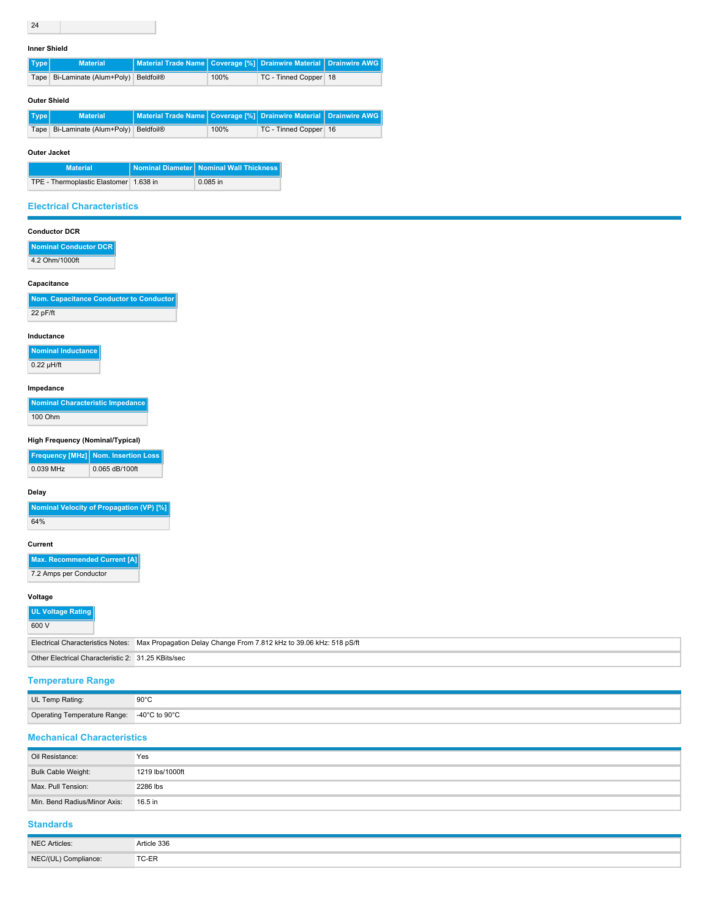#### **Inner Shield**

| $ $ Type $ $ | <b>Material</b>                        | Material Trade Name   Coverage [%]   Drainwire Material   Drainwire AWG |      |                         |  |
|--------------|----------------------------------------|-------------------------------------------------------------------------|------|-------------------------|--|
|              | Tape Bi-Laminate (Alum+Poly) Beldfoil® |                                                                         | 100% | TC - Tinned Copper   18 |  |

#### **Outer Shield**

| ∥ Type  ' | <b>Material</b>                            | Material Trade Name   Coverage [%]   Drainwire Material   Drainwire AWG |      |                       |  |
|-----------|--------------------------------------------|-------------------------------------------------------------------------|------|-----------------------|--|
|           | Tape   Bi-Laminate (Alum+Poly)   Beldfoil® |                                                                         | 100% | TC - Tinned Copper 16 |  |

### **Outer Jacket**

| <b>Material</b>                        | Nominal Diameter   Nominal Wall Thickness |
|----------------------------------------|-------------------------------------------|
| TPE - Thermoplastic Elastomer 1.638 in | 0.085 in                                  |

## **Electrical Characteristics**

# **Conductor DCR**

| Nominal Conductor DCR |
|-----------------------|
| 4.2 Ohm/1000ft        |

#### **Capacitance**

| Nom. Capacitance Conductor to Conductor |  |
|-----------------------------------------|--|
| $22$ pF/ft                              |  |

#### **Inductance**

**Nominal Inductance**  $\sqrt{0.22 \mu H/ft}$ 

### **Impedance**

| Nominal Characteristic Impedance |
|----------------------------------|
| 100 Ohm                          |

# **High Frequency (Nominal/Typical)**

|           | <b>Frequency [MHz] Nom. Insertion Loss</b> |  |  |
|-----------|--------------------------------------------|--|--|
| 0.039 MHz | 0.065 dB/100ft                             |  |  |

### **Delay**

| Nominal Velocity of Propagation (VP) [%] |
|------------------------------------------|
| 64%                                      |

### **Current**

**Max. Recommended Current [A]**

7.2 Amps per Conductor

#### **Voltage**

| UL Voltage Rating<br>600 V                         |                                                                                                       |
|----------------------------------------------------|-------------------------------------------------------------------------------------------------------|
|                                                    | Electrical Characteristics Notes: Max Propagation Delay Change From 7.812 kHz to 39.06 kHz: 518 pS/ft |
| Other Electrical Characteristic 2: 31.25 KBits/sec |                                                                                                       |

# **Temperature Range**

| UL Temp Rating:                            | $90^{\circ}$ C<br>$  -$ |
|--------------------------------------------|-------------------------|
| Operating Temperature Range: -40°C to 90°C |                         |

### **Mechanical Characteristics**

| Oil Resistance:              | Yes             |
|------------------------------|-----------------|
| <b>Bulk Cable Weight:</b>    | 1219 lbs/1000ft |
| Max. Pull Tension:           | 2286 lbs        |
| Min. Bend Radius/Minor Axis: | 16.5 in         |

# **Standards**

| NEC Articles:        | Article 336 |
|----------------------|-------------|
| NEC/(UL) Compliance: | TC-ER       |